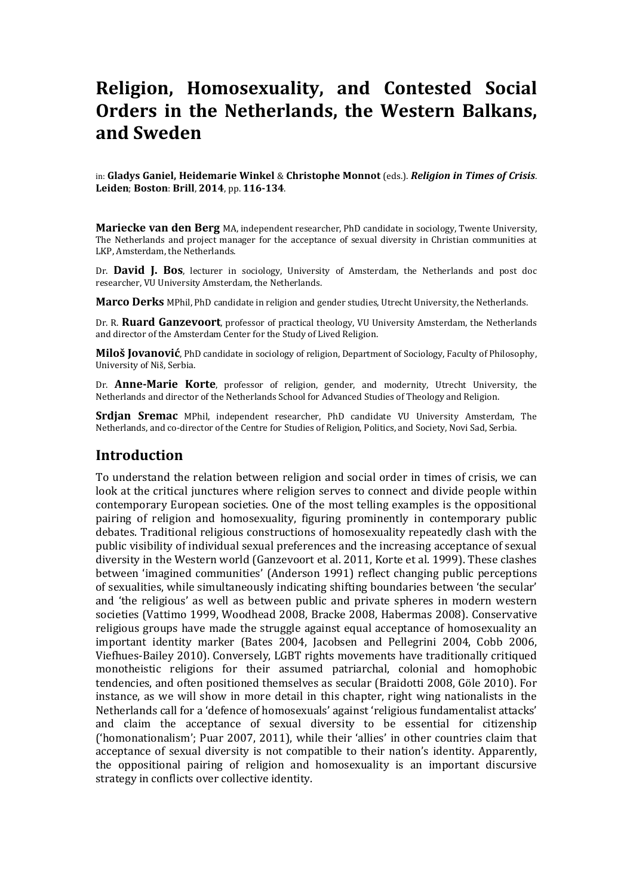# **Religion, Homosexuality, and Contested Social Orders in the Netherlands, the Western Balkans, and Sweden**

in: **Gladys Ganiel, Heidemarie Winkel** & **Christophe Monnot** (eds.). *Religion in Times of Crisis*. **Leiden**; **Boston**: **Brill**, **2014**, pp. **116-134**.

**Mariecke van den Berg** MA, independent researcher, PhD candidate in sociology, Twente University, The Netherlands and project manager for the acceptance of sexual diversity in Christian communities at LKP, Amsterdam, the Netherlands.

Dr. **David J. Bos**, lecturer in sociology, University of Amsterdam, the Netherlands and post doc researcher, VU University Amsterdam, the Netherlands.

**Marco Derks** MPhil, PhD candidate in religion and gender studies, Utrecht University, the Netherlands.

Dr. R. **Ruard Ganzevoort**, professor of practical theology, VU University Amsterdam, the Netherlands and director of the Amsterdam Center for the Study of Lived Religion.

**Miloš Jovanović**, PhD candidate in sociology of religion, Department of Sociology, Faculty of Philosophy, University of Niš, Serbia.

Dr. **Anne-Marie Korte**, professor of religion, gender, and modernity, Utrecht University, the Netherlands and director of the Netherlands School for Advanced Studies of Theology and Religion.

**Srdjan Sremac** MPhil, independent researcher, PhD candidate VU University Amsterdam, The Netherlands, and co-director of the Centre for Studies of Religion, Politics, and Society, Novi Sad, Serbia.

#### **Introduction**

To understand the relation between religion and social order in times of crisis, we can look at the critical junctures where religion serves to connect and divide people within contemporary European societies. One of the most telling examples is the oppositional pairing of religion and homosexuality, figuring prominently in contemporary public debates. Traditional religious constructions of homosexuality repeatedly clash with the public visibility of individual sexual preferences and the increasing acceptance of sexual diversity in the Western world (Ganzevoort et al. 2011, Korte et al. 1999). These clashes between 'imagined communities' (Anderson 1991) reflect changing public perceptions of sexualities, while simultaneously indicating shifting boundaries between 'the secular' and 'the religious' as well as between public and private spheres in modern western societies (Vattimo 1999, Woodhead 2008, Bracke 2008, Habermas 2008). Conservative religious groups have made the struggle against equal acceptance of homosexuality an important identity marker (Bates 2004, Jacobsen and Pellegrini 2004, Cobb 2006, Viefhues-Bailey 2010). Conversely, LGBT rights movements have traditionally critiqued monotheistic religions for their assumed patriarchal, colonial and homophobic tendencies, and often positioned themselves as secular (Braidotti 2008, Göle 2010). For instance, as we will show in more detail in this chapter, right wing nationalists in the Netherlands call for a 'defence of homosexuals' against 'religious fundamentalist attacks' and claim the acceptance of sexual diversity to be essential for citizenship ('homonationalism'; Puar 2007, 2011), while their 'allies' in other countries claim that acceptance of sexual diversity is not compatible to their nation's identity. Apparently, the oppositional pairing of religion and homosexuality is an important discursive strategy in conflicts over collective identity.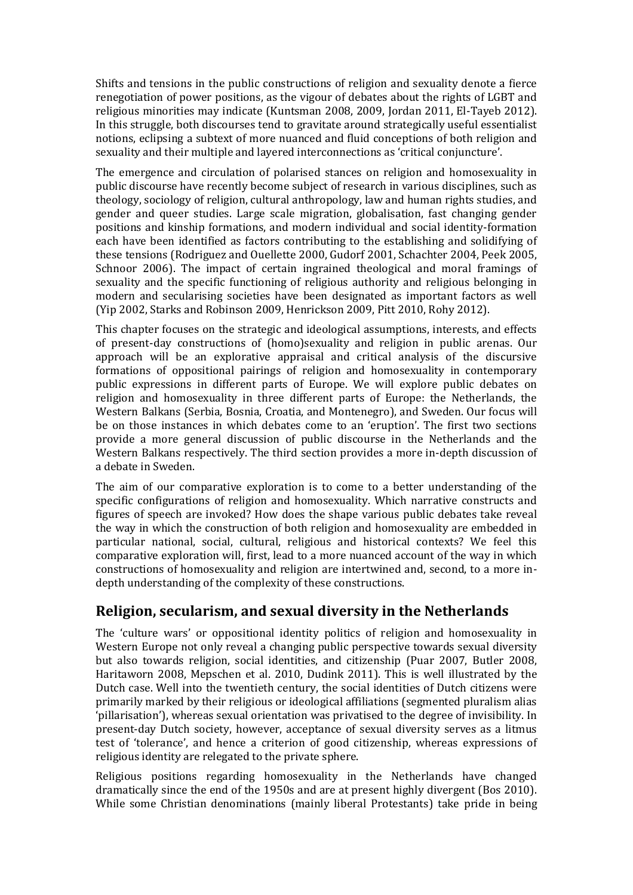Shifts and tensions in the public constructions of religion and sexuality denote a fierce renegotiation of power positions, as the vigour of debates about the rights of LGBT and religious minorities may indicate (Kuntsman 2008, 2009, Jordan 2011, El-Tayeb 2012). In this struggle, both discourses tend to gravitate around strategically useful essentialist notions, eclipsing a subtext of more nuanced and fluid conceptions of both religion and sexuality and their multiple and layered interconnections as 'critical conjuncture'.

The emergence and circulation of polarised stances on religion and homosexuality in public discourse have recently become subject of research in various disciplines, such as theology, sociology of religion, cultural anthropology, law and human rights studies, and gender and queer studies. Large scale migration, globalisation, fast changing gender positions and kinship formations, and modern individual and social identity-formation each have been identified as factors contributing to the establishing and solidifying of these tensions (Rodriguez and Ouellette 2000, Gudorf 2001, Schachter 2004, Peek 2005, Schnoor 2006). The impact of certain ingrained theological and moral framings of sexuality and the specific functioning of religious authority and religious belonging in modern and secularising societies have been designated as important factors as well (Yip 2002, Starks and Robinson 2009, Henrickson 2009, Pitt 2010, Rohy 2012).

This chapter focuses on the strategic and ideological assumptions, interests, and effects of present-day constructions of (homo)sexuality and religion in public arenas. Our approach will be an explorative appraisal and critical analysis of the discursive formations of oppositional pairings of religion and homosexuality in contemporary public expressions in different parts of Europe. We will explore public debates on religion and homosexuality in three different parts of Europe: the Netherlands, the Western Balkans (Serbia, Bosnia, Croatia, and Montenegro), and Sweden. Our focus will be on those instances in which debates come to an 'eruption'. The first two sections provide a more general discussion of public discourse in the Netherlands and the Western Balkans respectively. The third section provides a more in-depth discussion of a debate in Sweden.

The aim of our comparative exploration is to come to a better understanding of the specific configurations of religion and homosexuality. Which narrative constructs and figures of speech are invoked? How does the shape various public debates take reveal the way in which the construction of both religion and homosexuality are embedded in particular national, social, cultural, religious and historical contexts? We feel this comparative exploration will, first, lead to a more nuanced account of the way in which constructions of homosexuality and religion are intertwined and, second, to a more indepth understanding of the complexity of these constructions.

# **Religion, secularism, and sexual diversity in the Netherlands**

The 'culture wars' or oppositional identity politics of religion and homosexuality in Western Europe not only reveal a changing public perspective towards sexual diversity but also towards religion, social identities, and citizenship (Puar 2007, Butler 2008, Haritaworn 2008, Mepschen et al. 2010, Dudink 2011). This is well illustrated by the Dutch case. Well into the twentieth century, the social identities of Dutch citizens were primarily marked by their religious or ideological affiliations (segmented pluralism alias 'pillarisation'), whereas sexual orientation was privatised to the degree of invisibility. In present-day Dutch society, however, acceptance of sexual diversity serves as a litmus test of 'tolerance', and hence a criterion of good citizenship, whereas expressions of religious identity are relegated to the private sphere.

Religious positions regarding homosexuality in the Netherlands have changed dramatically since the end of the 1950s and are at present highly divergent (Bos 2010). While some Christian denominations (mainly liberal Protestants) take pride in being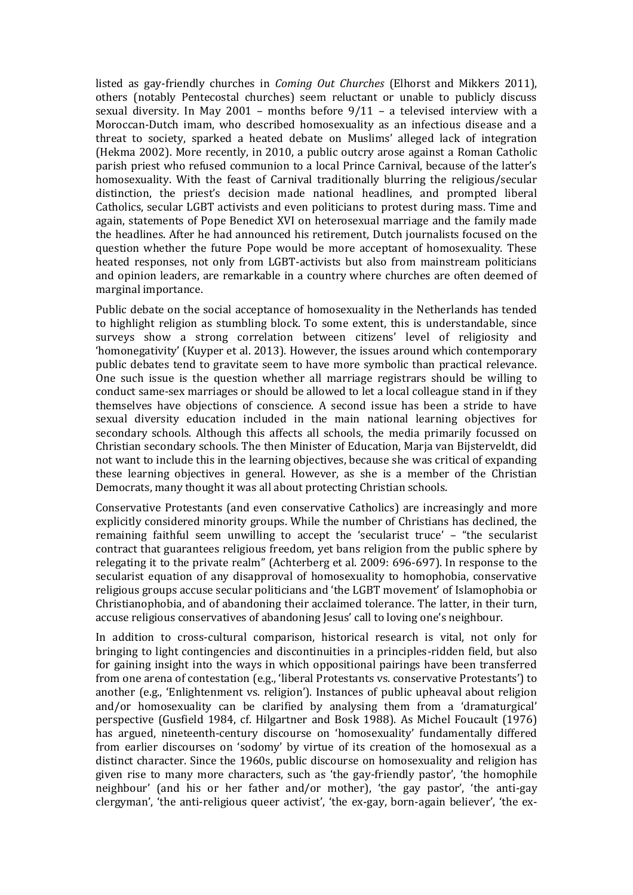listed as gay-friendly churches in *Coming Out Churches* (Elhorst and Mikkers 2011), others (notably Pentecostal churches) seem reluctant or unable to publicly discuss sexual diversity. In May 2001 – months before 9/11 – a televised interview with a Moroccan-Dutch imam, who described homosexuality as an infectious disease and a threat to society, sparked a heated debate on Muslims' alleged lack of integration (Hekma 2002). More recently, in 2010, a public outcry arose against a Roman Catholic parish priest who refused communion to a local Prince Carnival, because of the latter's homosexuality. With the feast of Carnival traditionally blurring the religious/secular distinction, the priest's decision made national headlines, and prompted liberal Catholics, secular LGBT activists and even politicians to protest during mass. Time and again, statements of Pope Benedict XVI on heterosexual marriage and the family made the headlines. After he had announced his retirement, Dutch journalists focused on the question whether the future Pope would be more acceptant of homosexuality. These heated responses, not only from LGBT-activists but also from mainstream politicians and opinion leaders, are remarkable in a country where churches are often deemed of marginal importance.

Public debate on the social acceptance of homosexuality in the Netherlands has tended to highlight religion as stumbling block. To some extent, this is understandable, since surveys show a strong correlation between citizens' level of religiosity and 'homonegativity' (Kuyper et al. 2013). However, the issues around which contemporary public debates tend to gravitate seem to have more symbolic than practical relevance. One such issue is the question whether all marriage registrars should be willing to conduct same-sex marriages or should be allowed to let a local colleague stand in if they themselves have objections of conscience. A second issue has been a stride to have sexual diversity education included in the main national learning objectives for secondary schools. Although this affects all schools, the media primarily focussed on Christian secondary schools. The then Minister of Education, Marja van Bijsterveldt, did not want to include this in the learning objectives, because she was critical of expanding these learning objectives in general. However, as she is a member of the Christian Democrats, many thought it was all about protecting Christian schools.

Conservative Protestants (and even conservative Catholics) are increasingly and more explicitly considered minority groups. While the number of Christians has declined, the remaining faithful seem unwilling to accept the 'secularist truce' – "the secularist contract that guarantees religious freedom, yet bans religion from the public sphere by relegating it to the private realm" (Achterberg et al. 2009: 696-697). In response to the secularist equation of any disapproval of homosexuality to homophobia, conservative religious groups accuse secular politicians and 'the LGBT movement' of Islamophobia or Christianophobia, and of abandoning their acclaimed tolerance. The latter, in their turn, accuse religious conservatives of abandoning Jesus' call to loving one's neighbour.

In addition to cross-cultural comparison, historical research is vital, not only for bringing to light contingencies and discontinuities in a principles-ridden field, but also for gaining insight into the ways in which oppositional pairings have been transferred from one arena of contestation (e.g., 'liberal Protestants vs. conservative Protestants') to another (e.g., 'Enlightenment vs. religion'). Instances of public upheaval about religion and/or homosexuality can be clarified by analysing them from a 'dramaturgical' perspective (Gusfield 1984, cf. Hilgartner and Bosk 1988). As Michel Foucault (1976) has argued, nineteenth-century discourse on 'homosexuality' fundamentally differed from earlier discourses on 'sodomy' by virtue of its creation of the homosexual as a distinct character. Since the 1960s, public discourse on homosexuality and religion has given rise to many more characters, such as 'the gay-friendly pastor', 'the homophile neighbour' (and his or her father and/or mother), 'the gay pastor', 'the anti-gay clergyman', 'the anti-religious queer activist', 'the ex-gay, born-again believer', 'the ex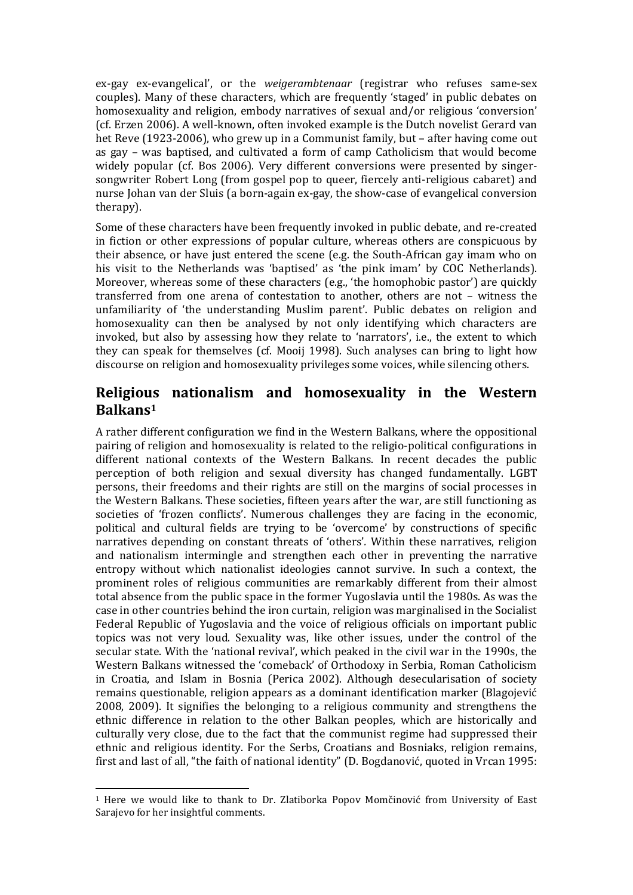ex-gay ex-evangelical', or the *weigerambtenaar* (registrar who refuses same-sex couples). Many of these characters, which are frequently 'staged' in public debates on homosexuality and religion, embody narratives of sexual and/or religious 'conversion' (cf. Erzen 2006). A well-known, often invoked example is the Dutch novelist Gerard van het Reve (1923-2006), who grew up in a Communist family, but – after having come out as gay – was baptised, and cultivated a form of camp Catholicism that would become widely popular (cf. Bos 2006). Very different conversions were presented by singersongwriter Robert Long (from gospel pop to queer, fiercely anti-religious cabaret) and nurse Johan van der Sluis (a born-again ex-gay, the show-case of evangelical conversion therapy).

Some of these characters have been frequently invoked in public debate, and re-created in fiction or other expressions of popular culture, whereas others are conspicuous by their absence, or have just entered the scene (e.g. the South-African gay imam who on his visit to the Netherlands was 'baptised' as 'the pink imam' by COC Netherlands). Moreover, whereas some of these characters (e.g., 'the homophobic pastor') are quickly transferred from one arena of contestation to another, others are not – witness the unfamiliarity of 'the understanding Muslim parent'. Public debates on religion and homosexuality can then be analysed by not only identifying which characters are invoked, but also by assessing how they relate to 'narrators', i.e., the extent to which they can speak for themselves (cf. Mooij 1998). Such analyses can bring to light how discourse on religion and homosexuality privileges some voices, while silencing others.

### **Religious nationalism and homosexuality in the Western Balkans<sup>1</sup>**

A rather different configuration we find in the Western Balkans, where the oppositional pairing of religion and homosexuality is related to the religio-political configurations in different national contexts of the Western Balkans. In recent decades the public perception of both religion and sexual diversity has changed fundamentally. LGBT persons, their freedoms and their rights are still on the margins of social processes in the Western Balkans. These societies, fifteen years after the war, are still functioning as societies of 'frozen conflicts'. Numerous challenges they are facing in the economic, political and cultural fields are trying to be 'overcome' by constructions of specific narratives depending on constant threats of 'others'*.* Within these narratives, religion and nationalism intermingle and strengthen each other in preventing the narrative entropy without which nationalist ideologies cannot survive. In such a context, the prominent roles of religious communities are remarkably different from their almost total absence from the public space in the former Yugoslavia until the 1980s. As was the case in other countries behind the iron curtain, religion was marginalised in the Socialist Federal Republic of Yugoslavia and the voice of religious officials on important public topics was not very loud. Sexuality was, like other issues, under the control of the secular state. With the 'national revival', which peaked in the civil war in the 1990s, the Western Balkans witnessed the 'comeback' of Orthodoxy in Serbia, Roman Catholicism in Croatia, and Islam in Bosnia (Perica 2002). Although desecularisation of society remains questionable, religion appears as a dominant identification marker (Blagojević 2008, 2009). It signifies the belonging to a religious community and strengthens the ethnic difference in relation to the other Balkan peoples, which are historically and culturally very close, due to the fact that the communist regime had suppressed their ethnic and religious identity. For the Serbs, Croatians and Bosniaks, religion remains, first and last of all, "the faith of national identity" (D. Bogdanović, quoted in Vrcan 1995:

 $\overline{\phantom{0}}$ 

<sup>1</sup> Here we would like to thank to Dr. Zlatiborka Popov Momčinović from University of East Sarajevo for her insightful comments.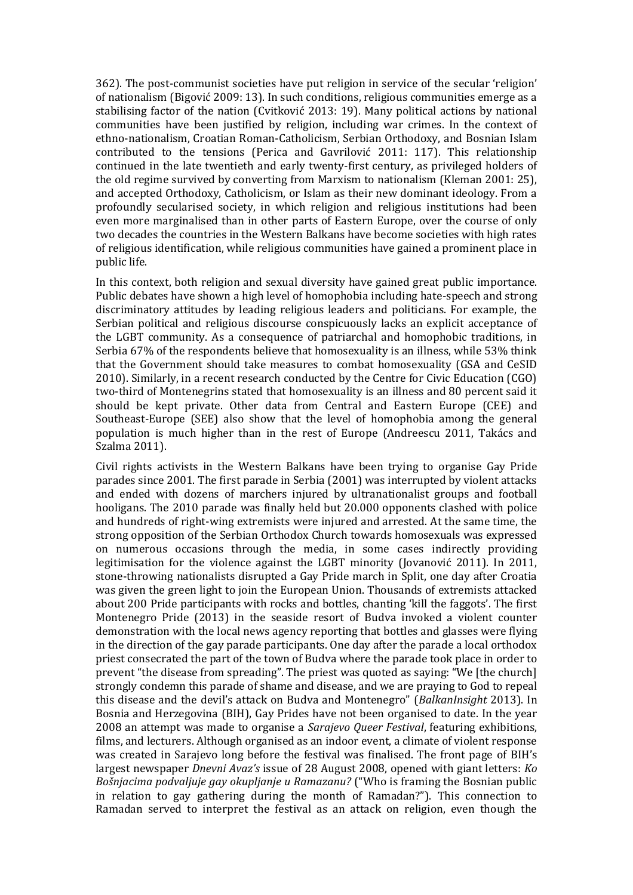362). The post-communist societies have put religion in service of the secular 'religion' of nationalism (Bigović 2009: 13). In such conditions, religious communities emerge as a stabilising factor of the nation (Cvitković 2013: 19). Many political actions by national communities have been justified by religion, including war crimes. In the context of ethno-nationalism, Croatian Roman-Catholicism, Serbian Orthodoxy, and Bosnian Islam contributed to the tensions (Perica and Gavrilović 2011: 117). This relationship continued in the late twentieth and early twenty-first century, as privileged holders of the old regime survived by converting from Marxism to nationalism (Kleman 2001: 25), and accepted Orthodoxy, Catholicism, or Islam as their new dominant ideology. From a profoundly secularised society, in which religion and religious institutions had been even more marginalised than in other parts of Eastern Europe, over the course of only two decades the countries in the Western Balkans have become societies with high rates of religious identification, while religious communities have gained a prominent place in public life.

In this context, both religion and sexual diversity have gained great public importance. Public debates have shown a high level of homophobia including hate-speech and strong discriminatory attitudes by leading religious leaders and politicians. For example, the Serbian political and religious discourse conspicuously lacks an explicit acceptance of the LGBT community. As a consequence of patriarchal and homophobic traditions, in Serbia 67% of the respondents believe that homosexuality is an illness, while 53% think that the Government should take measures to combat homosexuality (GSA and CeSID 2010). Similarly, in a recent research conducted by the Centre for Civic Education (CGO) two-third of Montenegrins stated that homosexuality is an illness and 80 percent said it should be kept private. Other data from Central and Eastern Europe (CEE) and Southeast-Europe (SEE) also show that the level of homophobia among the general population is much higher than in the rest of Europe (Andreescu 2011, Takács and Szalma 2011).

Civil rights activists in the Western Balkans have been trying to organise Gay Pride parades since 2001. The first parade in Serbia (2001) was interrupted by violent attacks and ended with dozens of marchers injured by ultranationalist groups and football hooligans. The 2010 parade was finally held but 20.000 opponents clashed with police and hundreds of right-wing extremists were injured and arrested. At the same time, the strong opposition of the Serbian Orthodox Church towards homosexuals was expressed on numerous occasions through the media, in some cases indirectly providing legitimisation for the violence against the LGBT minority (Jovanović 2011). In 2011, stone-throwing nationalists disrupted a Gay Pride march in Split, one day after Croatia was given the green light to join the European Union. Thousands of extremists attacked about 200 Pride participants with rocks and bottles, chanting 'kill the faggots'. The first Montenegro Pride (2013) in the seaside resort of Budva invoked a violent counter demonstration with the local news agency reporting that bottles and glasses were flying in the direction of the gay parade participants. One day after the parade a local orthodox priest consecrated the part of the town of Budva where the parade took place in order to prevent "the disease from spreading". The priest was quoted as saying: "We [the church] strongly condemn this parade of shame and disease, and we are praying to God to repeal this disease and the devil's attack on Budva and Montenegro" (*BalkanInsight* 2013). In Bosnia and Herzegovina (BIH), Gay Prides have not been organised to date. In the year 2008 an attempt was made to organise a *Sarajevo Queer Festival*, featuring exhibitions, films, and lecturers. Although organised as an indoor event, a climate of violent response was created in Sarajevo long before the festival was finalised. The front page of BIH's largest newspaper *Dnevni Avaz's* issue of 28 August 2008, opened with giant letters: *Ko Bošnjacima podvaljuje gay okupljanje u Ramazanu?* ("Who is framing the Bosnian public in relation to gay gathering during the month of Ramadan?"). This connection to Ramadan served to interpret the festival as an attack on religion, even though the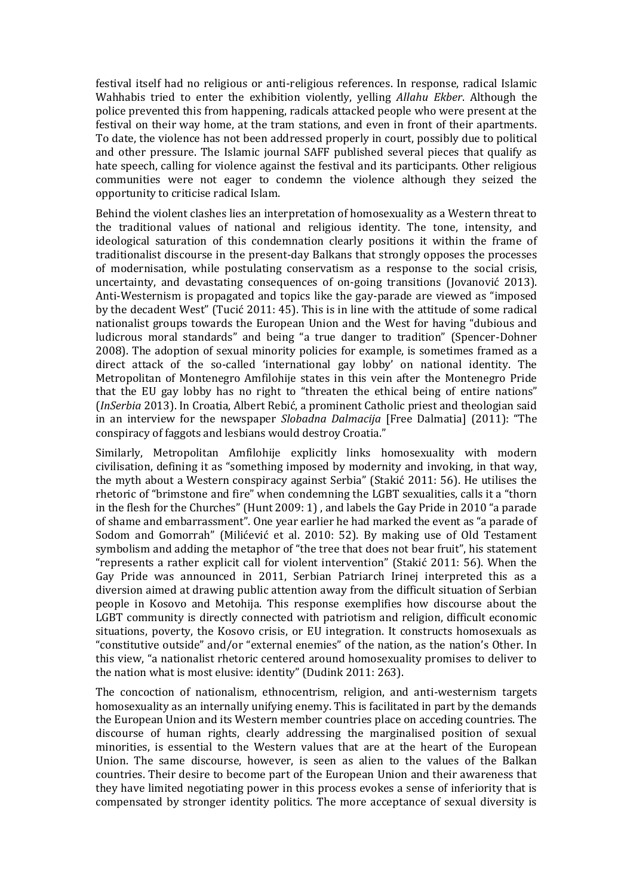festival itself had no religious or anti-religious references. In response, radical Islamic Wahhabis tried to enter the exhibition violently, yelling *Allahu Ekber*. Although the police prevented this from happening, radicals attacked people who were present at the festival on their way home, at the tram stations, and even in front of their apartments. To date, the violence has not been addressed properly in court, possibly due to political and other pressure. The Islamic journal SAFF published several pieces that qualify as hate speech, calling for violence against the festival and its participants. Other religious communities were not eager to condemn the violence although they seized the opportunity to criticise radical Islam.

Behind the violent clashes lies an interpretation of homosexuality as a Western threat to the traditional values of national and religious identity. The tone, intensity, and ideological saturation of this condemnation clearly positions it within the frame of traditionalist discourse in the present-day Balkans that strongly opposes the processes of modernisation, while postulating conservatism as a response to the social crisis, uncertainty, and devastating consequences of on-going transitions (Jovanović 2013). Anti-Westernism is propagated and topics like the gay-parade are viewed as "imposed by the decadent West" (Tucić 2011: 45). This is in line with the attitude of some radical nationalist groups towards the European Union and the West for having "dubious and ludicrous moral standards" and being "a true danger to tradition" (Spencer-Dohner 2008). The adoption of sexual minority policies for example, is sometimes framed as a direct attack of the so-called 'international gay lobby' on national identity. The Metropolitan of Montenegro Amfilohije states in this vein after the Montenegro Pride that the EU gay lobby has no right to "threaten the ethical being of entire nations" (*InSerbia* 2013). In Croatia, Albert Rebić, a prominent Catholic priest and theologian said in an interview for the newspaper *Slobadna Dalmacija* [Free Dalmatia] (2011): "The conspiracy of faggots and lesbians would destroy Croatia."

Similarly, Metropolitan Amfilohije explicitly links homosexuality with modern civilisation, defining it as "something imposed by modernity and invoking, in that way, the myth about a Western conspiracy against Serbia" (Stakić 2011: 56). He utilises the rhetoric of "brimstone and fire" when condemning the LGBT sexualities, calls it a "thorn in the flesh for the Churches" (Hunt 2009: 1) , and labels the Gay Pride in 2010 "a parade of shame and embarrassment". One year earlier he had marked the event as "a parade of Sodom and Gomorrah" (Milićević et al. 2010: 52). By making use of Old Testament symbolism and adding the metaphor of "the tree that does not bear fruit", his statement "represents a rather explicit call for violent intervention" (Stakić 2011: 56). When the Gay Pride was announced in 2011, Serbian Patriarch Irinej interpreted this as a diversion aimed at drawing public attention away from the difficult situation of Serbian people in Kosovo and Metohija. This response exemplifies how discourse about the LGBT community is directly connected with patriotism and religion, difficult economic situations, poverty, the Kosovo crisis, or EU integration. It constructs homosexuals as "constitutive outside" and/or "external enemies" of the nation, as the nation's Other. In this view, "a nationalist rhetoric centered around homosexuality promises to deliver to the nation what is most elusive: identity" (Dudink 2011: 263).

The concoction of nationalism, ethnocentrism, religion, and anti-westernism targets homosexuality as an internally unifying enemy. This is facilitated in part by the demands the European Union and its Western member countries place on acceding countries. The discourse of human rights, clearly addressing the marginalised position of sexual minorities, is essential to the Western values that are at the heart of the European Union. The same discourse, however, is seen as alien to the values of the Balkan countries. Their desire to become part of the European Union and their awareness that they have limited negotiating power in this process evokes a sense of inferiority that is compensated by stronger identity politics. The more acceptance of sexual diversity is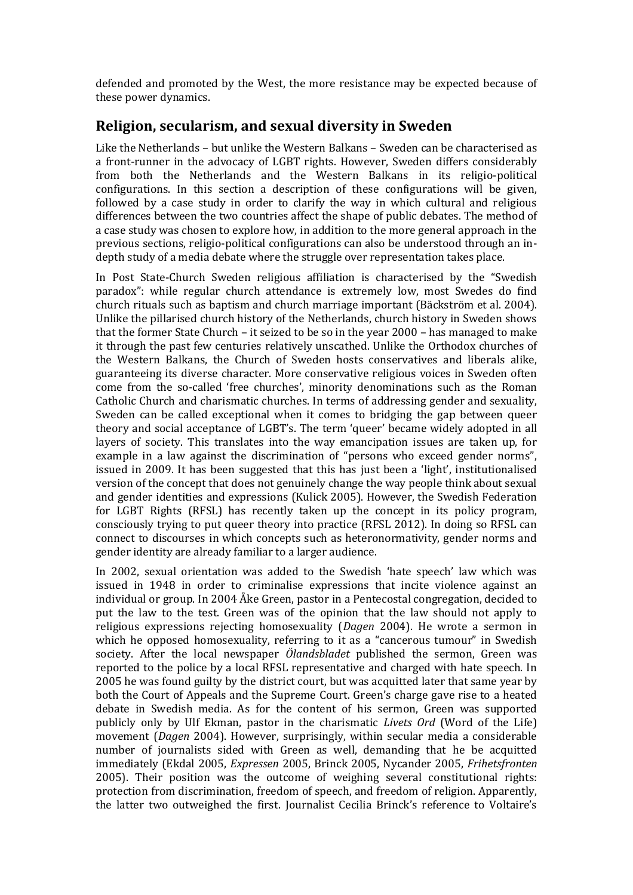defended and promoted by the West, the more resistance may be expected because of these power dynamics.

#### **Religion, secularism, and sexual diversity in Sweden**

Like the Netherlands – but unlike the Western Balkans – Sweden can be characterised as a front-runner in the advocacy of LGBT rights. However, Sweden differs considerably from both the Netherlands and the Western Balkans in its religio-political configurations. In this section a description of these configurations will be given, followed by a case study in order to clarify the way in which cultural and religious differences between the two countries affect the shape of public debates. The method of a case study was chosen to explore how, in addition to the more general approach in the previous sections, religio-political configurations can also be understood through an indepth study of a media debate where the struggle over representation takes place.

In Post State-Church Sweden religious affiliation is characterised by the "Swedish paradox": while regular church attendance is extremely low, most Swedes do find church rituals such as baptism and church marriage important (Bäckström et al. 2004). Unlike the pillarised church history of the Netherlands, church history in Sweden shows that the former State Church – it seized to be so in the year 2000 – has managed to make it through the past few centuries relatively unscathed. Unlike the Orthodox churches of the Western Balkans, the Church of Sweden hosts conservatives and liberals alike, guaranteeing its diverse character. More conservative religious voices in Sweden often come from the so-called 'free churches', minority denominations such as the Roman Catholic Church and charismatic churches. In terms of addressing gender and sexuality, Sweden can be called exceptional when it comes to bridging the gap between queer theory and social acceptance of LGBT's. The term 'queer' became widely adopted in all layers of society. This translates into the way emancipation issues are taken up, for example in a law against the discrimination of "persons who exceed gender norms", issued in 2009. It has been suggested that this has just been a 'light', institutionalised version of the concept that does not genuinely change the way people think about sexual and gender identities and expressions (Kulick 2005). However, the Swedish Federation for LGBT Rights (RFSL) has recently taken up the concept in its policy program, consciously trying to put queer theory into practice (RFSL 2012). In doing so RFSL can connect to discourses in which concepts such as heteronormativity, gender norms and gender identity are already familiar to a larger audience.

In 2002, sexual orientation was added to the Swedish 'hate speech' law which was issued in 1948 in order to criminalise expressions that incite violence against an individual or group. In 2004 Åke Green, pastor in a Pentecostal congregation, decided to put the law to the test. Green was of the opinion that the law should not apply to religious expressions rejecting homosexuality (*Dagen* 2004). He wrote a sermon in which he opposed homosexuality, referring to it as a "cancerous tumour" in Swedish society. After the local newspaper *Ölandsbladet* published the sermon, Green was reported to the police by a local RFSL representative and charged with hate speech. In 2005 he was found guilty by the district court, but was acquitted later that same year by both the Court of Appeals and the Supreme Court. Green's charge gave rise to a heated debate in Swedish media. As for the content of his sermon, Green was supported publicly only by Ulf Ekman, pastor in the charismatic *Livets Ord* (Word of the Life) movement (*Dagen* 2004). However, surprisingly, within secular media a considerable number of journalists sided with Green as well, demanding that he be acquitted immediately (Ekdal 2005, *Expressen* 2005, Brinck 2005, Nycander 2005, *Frihetsfronten* 2005). Their position was the outcome of weighing several constitutional rights: protection from discrimination, freedom of speech, and freedom of religion. Apparently, the latter two outweighed the first. Journalist Cecilia Brinck's reference to Voltaire's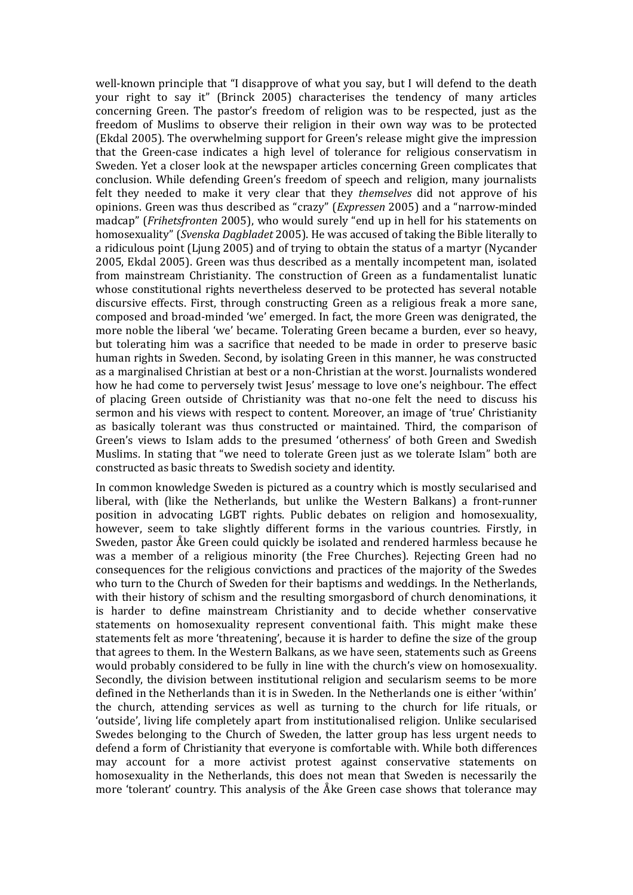well-known principle that "I disapprove of what you say, but I will defend to the death your right to say it" (Brinck 2005) characterises the tendency of many articles concerning Green. The pastor's freedom of religion was to be respected, just as the freedom of Muslims to observe their religion in their own way was to be protected (Ekdal 2005). The overwhelming support for Green's release might give the impression that the Green-case indicates a high level of tolerance for religious conservatism in Sweden. Yet a closer look at the newspaper articles concerning Green complicates that conclusion. While defending Green's freedom of speech and religion, many journalists felt they needed to make it very clear that they *themselves* did not approve of his opinions. Green was thus described as "crazy" (*Expressen* 2005) and a "narrow-minded madcap" (*Frihetsfronten* 2005), who would surely "end up in hell for his statements on homosexuality" (*Svenska Dagbladet* 2005). He was accused of taking the Bible literally to a ridiculous point (Ljung 2005) and of trying to obtain the status of a martyr (Nycander 2005, Ekdal 2005). Green was thus described as a mentally incompetent man, isolated from mainstream Christianity. The construction of Green as a fundamentalist lunatic whose constitutional rights nevertheless deserved to be protected has several notable discursive effects. First, through constructing Green as a religious freak a more sane, composed and broad-minded 'we' emerged. In fact, the more Green was denigrated, the more noble the liberal 'we' became. Tolerating Green became a burden, ever so heavy, but tolerating him was a sacrifice that needed to be made in order to preserve basic human rights in Sweden. Second, by isolating Green in this manner, he was constructed as a marginalised Christian at best or a non-Christian at the worst. Journalists wondered how he had come to perversely twist Jesus' message to love one's neighbour. The effect of placing Green outside of Christianity was that no-one felt the need to discuss his sermon and his views with respect to content. Moreover, an image of 'true' Christianity as basically tolerant was thus constructed or maintained. Third, the comparison of Green's views to Islam adds to the presumed 'otherness' of both Green and Swedish Muslims. In stating that "we need to tolerate Green just as we tolerate Islam" both are constructed as basic threats to Swedish society and identity.

In common knowledge Sweden is pictured as a country which is mostly secularised and liberal, with (like the Netherlands, but unlike the Western Balkans) a front-runner position in advocating LGBT rights. Public debates on religion and homosexuality, however, seem to take slightly different forms in the various countries. Firstly, in Sweden, pastor Åke Green could quickly be isolated and rendered harmless because he was a member of a religious minority (the Free Churches). Rejecting Green had no consequences for the religious convictions and practices of the majority of the Swedes who turn to the Church of Sweden for their baptisms and weddings. In the Netherlands, with their history of schism and the resulting smorgasbord of church denominations, it is harder to define mainstream Christianity and to decide whether conservative statements on homosexuality represent conventional faith. This might make these statements felt as more 'threatening', because it is harder to define the size of the group that agrees to them. In the Western Balkans, as we have seen, statements such as Greens would probably considered to be fully in line with the church's view on homosexuality. Secondly, the division between institutional religion and secularism seems to be more defined in the Netherlands than it is in Sweden. In the Netherlands one is either 'within' the church, attending services as well as turning to the church for life rituals, or 'outside', living life completely apart from institutionalised religion. Unlike secularised Swedes belonging to the Church of Sweden, the latter group has less urgent needs to defend a form of Christianity that everyone is comfortable with. While both differences may account for a more activist protest against conservative statements on homosexuality in the Netherlands, this does not mean that Sweden is necessarily the more 'tolerant' country. This analysis of the Åke Green case shows that tolerance may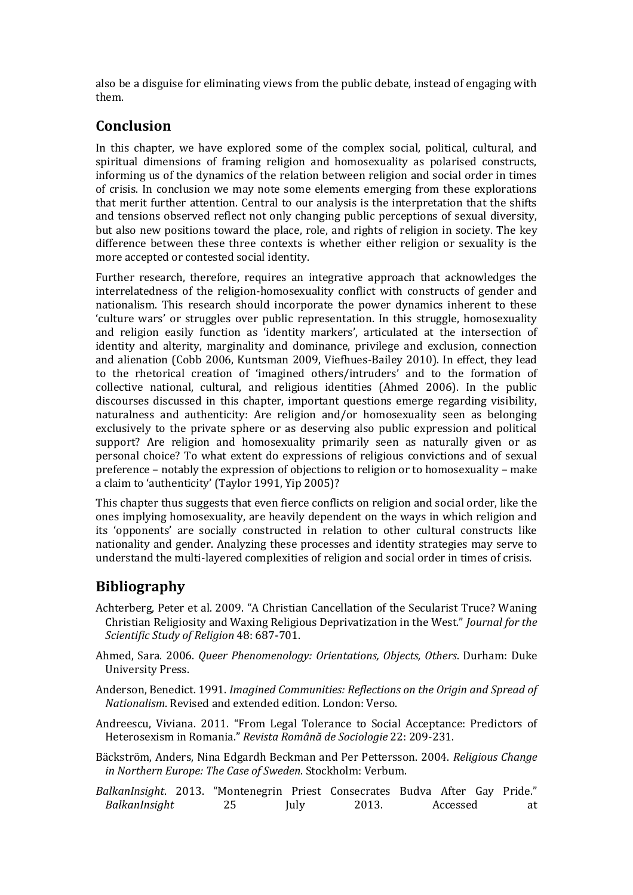also be a disguise for eliminating views from the public debate, instead of engaging with them.

#### **Conclusion**

In this chapter, we have explored some of the complex social, political, cultural, and spiritual dimensions of framing religion and homosexuality as polarised constructs, informing us of the dynamics of the relation between religion and social order in times of crisis. In conclusion we may note some elements emerging from these explorations that merit further attention. Central to our analysis is the interpretation that the shifts and tensions observed reflect not only changing public perceptions of sexual diversity, but also new positions toward the place, role, and rights of religion in society. The key difference between these three contexts is whether either religion or sexuality is the more accepted or contested social identity.

Further research, therefore, requires an integrative approach that acknowledges the interrelatedness of the religion-homosexuality conflict with constructs of gender and nationalism. This research should incorporate the power dynamics inherent to these 'culture wars' or struggles over public representation. In this struggle, homosexuality and religion easily function as 'identity markers', articulated at the intersection of identity and alterity, marginality and dominance, privilege and exclusion, connection and alienation (Cobb 2006, Kuntsman 2009, Viefhues-Bailey 2010). In effect, they lead to the rhetorical creation of 'imagined others/intruders' and to the formation of collective national, cultural, and religious identities (Ahmed 2006). In the public discourses discussed in this chapter, important questions emerge regarding visibility, naturalness and authenticity: Are religion and/or homosexuality seen as belonging exclusively to the private sphere or as deserving also public expression and political support? Are religion and homosexuality primarily seen as naturally given or as personal choice? To what extent do expressions of religious convictions and of sexual preference – notably the expression of objections to religion or to homosexuality – make a claim to 'authenticity' (Taylor 1991, Yip 2005)?

This chapter thus suggests that even fierce conflicts on religion and social order, like the ones implying homosexuality, are heavily dependent on the ways in which religion and its 'opponents' are socially constructed in relation to other cultural constructs like nationality and gender. Analyzing these processes and identity strategies may serve to understand the multi-layered complexities of religion and social order in times of crisis.

# **Bibliography**

- Achterberg, Peter et al. 2009. "A Christian Cancellation of the Secularist Truce? Waning Christian Religiosity and Waxing Religious Deprivatization in the West." *Journal for the Scientific Study of Religion* 48: 687-701.
- Ahmed, Sara. 2006. *Queer Phenomenology: Orientations, Objects, Others*. Durham: Duke University Press.
- Anderson, Benedict. 1991. *Imagined Communities: Reflections on the Origin and Spread of Nationalism*. Revised and extended edition. London: Verso.

Andreescu, Viviana. 2011. "From Legal Tolerance to Social Acceptance: Predictors of Heterosexism in Romania." *Revista Română de Sociologie* 22: 209-231.

- Bäckström, Anders, Nina Edgardh Beckman and Per Pettersson. 2004. *Religious Change in Northern Europe: The Case of Sweden*. Stockholm: Verbum.
- *BalkanInsight*. 2013. "Montenegrin Priest Consecrates Budva After Gay Pride." *BalkanInsight* 25 July 2013. Accessed at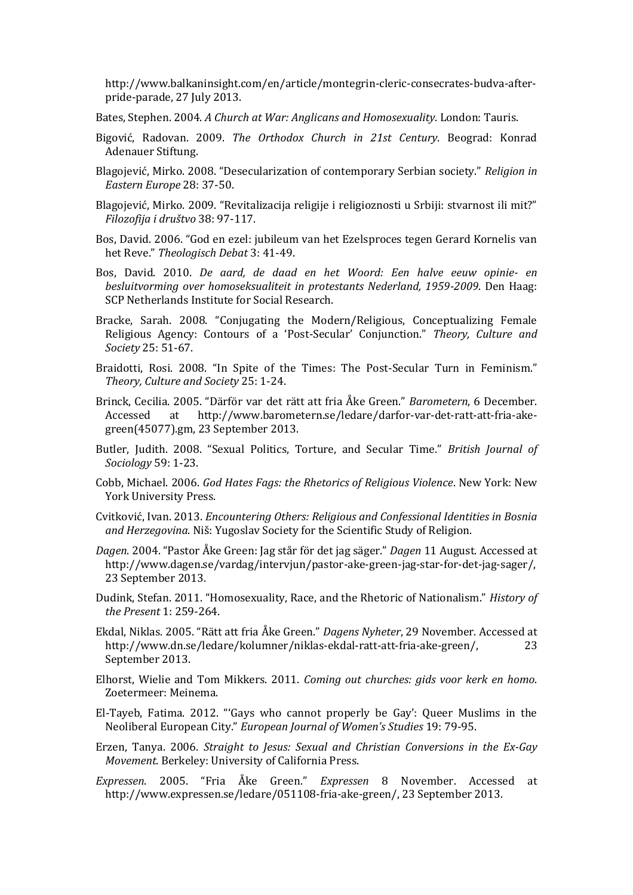http://www.balkaninsight.com/en/article/montegrin-cleric-consecrates-budva-afterpride-parade, 27 July 2013.

Bates, Stephen. 2004. *A Church at War: Anglicans and Homosexuality*. London: Tauris.

- Bigović, Radovan. 2009. *The Orthodox Church in 21st Century*. Beograd: Konrad Adenauer Stiftung.
- Blagojević, Mirko. 2008. "Desecularization of contemporary Serbian society." *Religion in Eastern Europe* 28: 37-50.
- Blagojević, Mirko. 2009. "Revitalizacija religije i religioznosti u Srbiji: stvarnost ili mit?" *Filozofija i društvo* 38: 97-117.
- Bos, David. 2006. "God en ezel: jubileum van het Ezelsproces tegen Gerard Kornelis van het Reve." *Theologisch Debat* 3: 41-49.
- Bos, David. 2010. *De aard, de daad en het Woord: Een halve eeuw opinie- en besluitvorming over homoseksualiteit in protestants Nederland, 1959-2009*. Den Haag: SCP Netherlands Institute for Social Research.
- Bracke, Sarah. 2008. "Conjugating the Modern/Religious, Conceptualizing Female Religious Agency: Contours of a 'Post-Secular' Conjunction." *Theory, Culture and Society* 25: 51-67.
- Braidotti, Rosi. 2008. "In Spite of the Times: The Post-Secular Turn in Feminism." *Theory, Culture and Society* 25: 1-24.
- Brinck, Cecilia. 2005. "Därför var det rätt att fria Åke Green." *Barometern*, 6 December. Accessed at http://www.barometern.se/ledare/darfor-var-det-ratt-att-fria-akegreen(45077).gm, 23 September 2013.
- Butler, Judith. 2008. "Sexual Politics, Torture, and Secular Time." *British Journal of Sociology* 59: 1-23.
- Cobb, Michael. 2006. *God Hates Fags: the Rhetorics of Religious Violence*. New York: New York University Press.
- Cvitković, Ivan. 2013. *Encountering Others: Religious and Confessional Identities in Bosnia and Herzegovina*. Niš: Yugoslav Society for the Scientific Study of Religion.
- *Dagen*. 2004. "Pastor Åke Green: Jag står för det jag säger." *Dagen* 11 August. Accessed at http://www.dagen.se/vardag/intervjun/pastor-ake-green-jag-star-for-det-jag-sager/, 23 September 2013.
- Dudink, Stefan. 2011. "Homosexuality, Race, and the Rhetoric of Nationalism." *History of the Present* 1: 259-264.
- Ekdal, Niklas. 2005. "Rätt att fria Åke Green." *Dagens Nyheter*, 29 November. Accessed at http://www.dn.se/ledare/kolumner/niklas-ekdal-ratt-att-fria-ake-green/, 23 September 2013.
- Elhorst, Wielie and Tom Mikkers. 2011. *Coming out churches: gids voor kerk en homo*. Zoetermeer: Meinema.
- El-Tayeb, Fatima. 2012. "'Gays who cannot properly be Gay': Queer Muslims in the Neoliberal European City." *European Journal of Women's Studies* 19: 79-95.
- Erzen, Tanya. 2006. *Straight to Jesus: Sexual and Christian Conversions in the Ex-Gay Movement*. Berkeley: University of California Press.
- *Expressen*. 2005. "Fria Åke Green." *Expressen* 8 November. Accessed at http://www.expressen.se/ledare/051108-fria-ake-green/, 23 September 2013.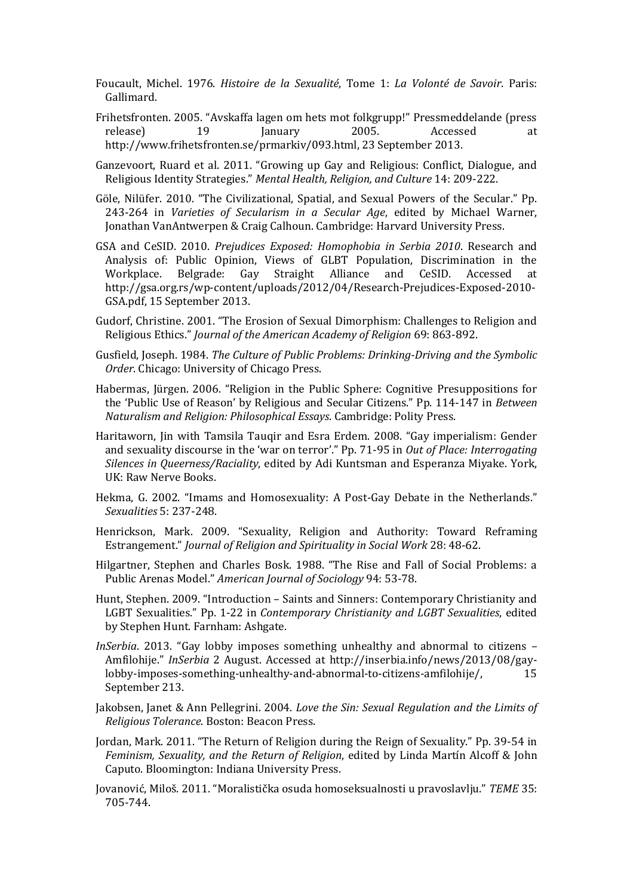Foucault, Michel. 1976. *Histoire de la Sexualité*, Tome 1: *La Volonté de Savoir*. Paris: Gallimard.

- Frihetsfronten. 2005. "Avskaffa lagen om hets mot folkgrupp!" Pressmeddelande (press release) 19 January 2005. Accessed at http://www.frihetsfronten.se/prmarkiv/093.html, 23 September 2013.
- Ganzevoort, Ruard et al. 2011. "Growing up Gay and Religious: Conflict, Dialogue, and Religious Identity Strategies." *Mental Health, Religion, and Culture* 14: 209-222.
- Göle, Nilüfer. 2010. "The Civilizational, Spatial, and Sexual Powers of the Secular." Pp. 243-264 in *Varieties of Secularism in a Secular Age*, edited by Michael Warner, Jonathan VanAntwerpen & Craig Calhoun. Cambridge: Harvard University Press.
- GSA and CeSID. 2010. *Prejudices Exposed: Homophobia in Serbia 2010*. Research and Analysis of: Public Opinion, Views of GLBT Population, Discrimination in the Workplace. Belgrade: Gay Straight Alliance and CeSID. Accessed at http://gsa.org.rs/wp-content/uploads/2012/04/Research-Prejudices-Exposed-2010- GSA.pdf, 15 September 2013.
- Gudorf, Christine. 2001. "The Erosion of Sexual Dimorphism: Challenges to Religion and Religious Ethics." *Journal of the American Academy of Religion* 69: 863-892.
- Gusfield, Joseph. 1984. *The Culture of Public Problems: Drinking-Driving and the Symbolic Order*. Chicago: University of Chicago Press.
- Habermas, Jürgen. 2006. "Religion in the Public Sphere: Cognitive Presuppositions for the 'Public Use of Reason' by Religious and Secular Citizens." Pp. 114-147 in *Between Naturalism and Religion: Philosophical Essays*. Cambridge: Polity Press.
- Haritaworn, Jin with Tamsila Tauqir and Esra Erdem. 2008. "Gay imperialism: Gender and sexuality discourse in the 'war on terror'." Pp. 71-95 in *Out of Place: Interrogating Silences in Queerness/Raciality*, edited by Adi Kuntsman and Esperanza Miyake. York, UK: Raw Nerve Books.
- Hekma, G. 2002. "Imams and Homosexuality: A Post-Gay Debate in the Netherlands." *Sexualities* 5: 237-248.
- Henrickson, Mark. 2009. "Sexuality, Religion and Authority: Toward Reframing Estrangement." *Journal of Religion and Spirituality in Social Work* 28: 48-62.
- Hilgartner, Stephen and Charles Bosk. 1988. "The Rise and Fall of Social Problems: a Public Arenas Model." *American Journal of Sociology* 94: 53-78.
- Hunt, Stephen. 2009. "Introduction Saints and Sinners: Contemporary Christianity and LGBT Sexualities." Pp. 1-22 in *Contemporary Christianity and LGBT Sexualities*, edited by Stephen Hunt. Farnham: Ashgate.
- *InSerbia*. 2013. "Gay lobby imposes something unhealthy and abnormal to citizens Amfilohije." *InSerbia* 2 August. Accessed at http://inserbia.info/news/2013/08/gaylobby-imposes-something-unhealthy-and-abnormal-to-citizens-amfilohije/, 15 September 213.
- Jakobsen, Janet & Ann Pellegrini. 2004. *Love the Sin: Sexual Regulation and the Limits of Religious Tolerance*. Boston: Beacon Press.
- Jordan, Mark. 2011. "The Return of Religion during the Reign of Sexuality." Pp. 39-54 in *Feminism, Sexuality, and the Return of Religion*, edited by Linda Martín Alcoff & John Caputo. Bloomington: Indiana University Press.
- Jovanović, Miloš. 2011. "Moralistička osuda homoseksualnosti u pravoslavlju." *TEME* 35: 705-744.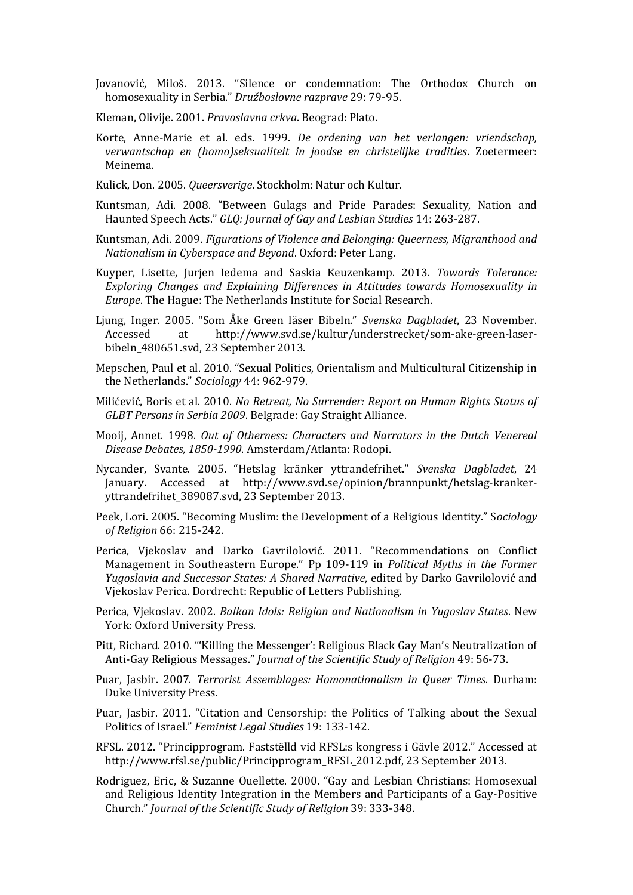Jovanović, Miloš. 2013. "Silence or condemnation: The Orthodox Church on homosexuality in Serbia." *Družboslovne razprave* 29: 79-95.

- Kleman, Olivije. 2001. *Pravoslavna crkva*. Beograd: Plato.
- Korte, Anne-Marie et al. eds. 1999. *De ordening van het verlangen: vriendschap, verwantschap en (homo)seksualiteit in joodse en christelijke tradities*. Zoetermeer: Meinema.
- Kulick, Don. 2005. *Queersverige*. Stockholm: Natur och Kultur.
- Kuntsman, Adi. 2008. "Between Gulags and Pride Parades: Sexuality, Nation and Haunted Speech Acts." *GLQ: Journal of Gay and Lesbian Studies* 14: 263-287.
- Kuntsman, Adi. 2009. *Figurations of Violence and Belonging: Queerness, Migranthood and Nationalism in Cyberspace and Beyond*. Oxford: Peter Lang.
- Kuyper, Lisette, Jurjen Iedema and Saskia Keuzenkamp. 2013. *Towards Tolerance: Exploring Changes and Explaining Differences in Attitudes towards Homosexuality in Europe*. The Hague: The Netherlands Institute for Social Research.
- Ljung, Inger. 2005. "Som Åke Green läser Bibeln." *Svenska Dagbladet*, 23 November. Accessed at http://www.svd.se/kultur/understrecket/som-ake-green-laserbibeln\_480651.svd, 23 September 2013.
- Mepschen, Paul et al. 2010. "Sexual Politics, Orientalism and Multicultural Citizenship in the Netherlands." *Sociology* 44: 962-979.
- Milićević, Boris et al. 2010. *No Retreat, No Surrender: Report on Human Rights Status of GLBT Persons in Serbia 2009*. Belgrade: Gay Straight Alliance.
- Mooij, Annet. 1998. *Out of Otherness: Characters and Narrators in the Dutch Venereal Disease Debates, 1850-1990*. Amsterdam/Atlanta: Rodopi.
- Nycander, Svante. 2005. "Hetslag kränker yttrandefrihet." *Svenska Dagbladet*, 24 January. Accessed at http://www.svd.se/opinion/brannpunkt/hetslag-krankeryttrandefrihet\_389087.svd, 23 September 2013.
- Peek, Lori. 2005. "Becoming Muslim: the Development of a Religious Identity." S*ociology of Religion* 66: 215-242.
- Perica, Vjekoslav and Darko Gavrilolović. 2011. "Recommendations on Conflict Management in Southeastern Europe." Pp 109-119 in *Political Myths in the Former Yugoslavia and Successor States: A Shared Narrative*, edited by Darko Gavrilolović and Vjekoslav Perica. Dordrecht: Republic of Letters Publishing.
- Perica, Vjekoslav. 2002. *Balkan Idols: Religion and Nationalism in Yugoslav States*. New York: Oxford University Press.
- Pitt, Richard. 2010. "'Killing the Messenger': Religious Black Gay Man's Neutralization of Anti-Gay Religious Messages." *Journal of the Scientific Study of Religion* 49: 56-73.
- Puar, Jasbir. 2007. *Terrorist Assemblages: Homonationalism in Queer Times*. Durham: Duke University Press.
- Puar, Jasbir. 2011. "Citation and Censorship: the Politics of Talking about the Sexual Politics of Israel." *Feminist Legal Studies* 19: 133-142.
- RFSL. 2012. "Principprogram. Faststëlld vid RFSL:s kongress i Gävle 2012." Accessed at http://www.rfsl.se/public/Principprogram\_RFSL\_2012.pdf, 23 September 2013.
- Rodriguez, Eric, & Suzanne Ouellette. 2000. "Gay and Lesbian Christians: Homosexual and Religious Identity Integration in the Members and Participants of a Gay-Positive Church." *Journal of the Scientific Study of Religion* 39: 333-348.